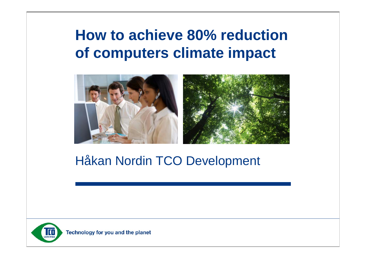### **How to achieve 80% reduction of computers climate impact**



#### Håkan Nordin TCO Development

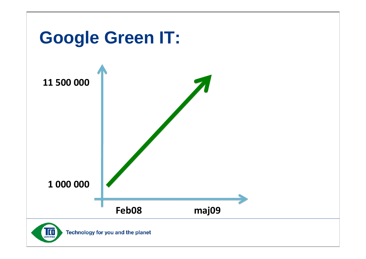

Technology for you and the planet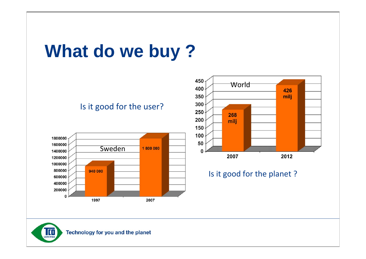## **What do we buy ?**

#### Is it good for the user?





Is it good for the planet ?

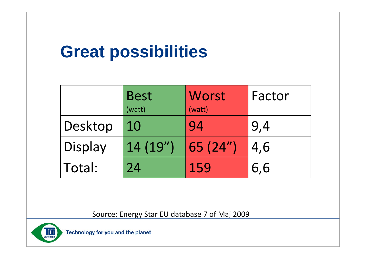### **Great possibilities**

|         | <b>Best</b><br>(watt) | Worst<br>(watt)               | Factor |
|---------|-----------------------|-------------------------------|--------|
| Desktop | 10                    | 94                            | 9,4    |
| Display | 14(19'')              | $\vert 65 \vert (24'') \vert$ | 4,6    |
| Total:  | 24                    | 159                           | 6,6    |

Source: Energy Star EU database 7 of Maj 2009



Technology for you and the planet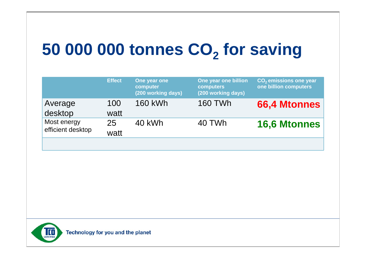## 50 000 000 tonnes CO<sub>2</sub> for saving

|                                  | <b>Effect</b> | One year one<br>computer<br>(200 working days) | One year one billion<br>computers<br>(200 working days) | CO <sub>2</sub> emissions one year<br>one billion computers |
|----------------------------------|---------------|------------------------------------------------|---------------------------------------------------------|-------------------------------------------------------------|
| Average<br>desktop               | 100<br>watt   | <b>160 kWh</b>                                 | <b>160 TWh</b>                                          | <b>66,4 Mtonnes</b>                                         |
| Most energy<br>efficient desktop | 25<br>watt    | 40 kWh                                         | 40 TWh                                                  | <b>16,6 Mtonnes</b>                                         |
|                                  |               |                                                |                                                         |                                                             |

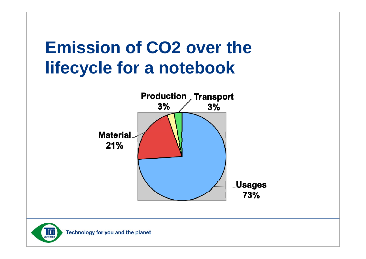## **Emission of CO2 over the lifecycle for a notebook**



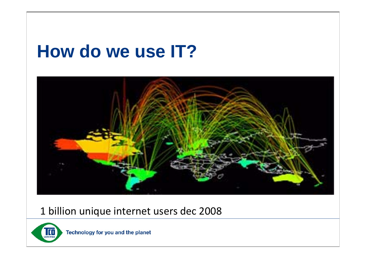## **How do we use IT?**



#### 1 billion unique internet users dec 2008



Technology for you and the planet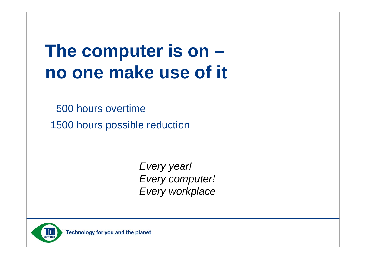## **The computer is on – no one make use of it**

500 hours overtime

1500 hours possible reduction

*Every year! Every computer! Every workplace*

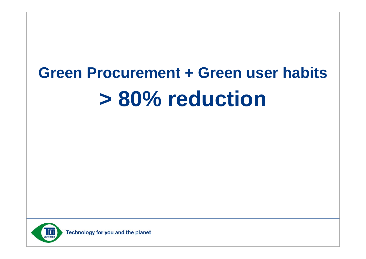# **Green Procurement + Green user habits > 80% reduction**

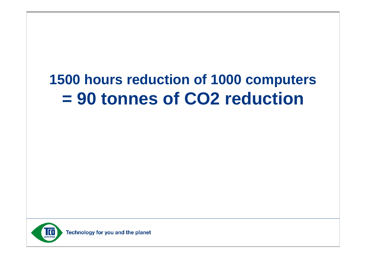### **1500 hours reduction of 1000 computers = 90 tonnes of CO2 reduction**

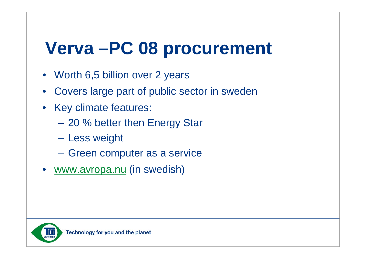## **Verva –PC 08 procurement**

- Worth 6,5 billion over 2 years
- Covers large part of public sector in sweden
- Key climate features:
	- 20 % better then Energy Star
	- Less weight
	- Green computer as a service
- [www.avropa.nu](http://www.avrop.nu) (in swedish)

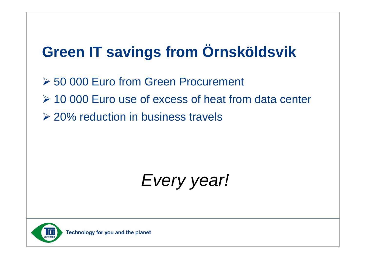### **Green IT savings from Örnsköldsvik**

- **≻ 50 000 Euro from Green Procurement**
- 10 000 Euro use of excess of heat from data center
- **► 20% reduction in business travels**

*Every year!*

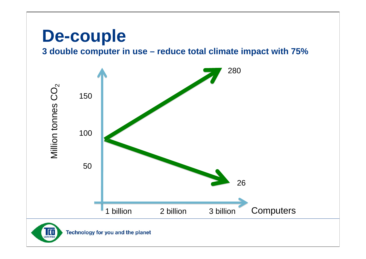### **De-couple**

**3 double computer in use – reduce total climate impact with 75%**